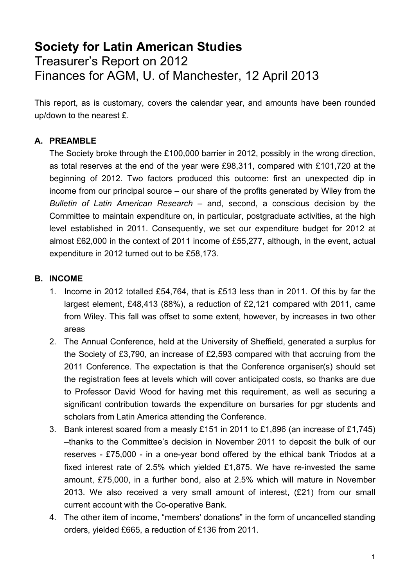# **Society for Latin American Studies** Treasurer's Report on 2012 Finances for AGM, U. of Manchester, 12 April 2013

This report, as is customary, covers the calendar year, and amounts have been rounded up/down to the nearest £.

## **A. PREAMBLE**

The Society broke through the £100,000 barrier in 2012, possibly in the wrong direction, as total reserves at the end of the year were £98,311, compared with £101,720 at the beginning of 2012. Two factors produced this outcome: first an unexpected dip in income from our principal source – our share of the profits generated by Wiley from the *Bulletin of Latin American Research* – and, second, a conscious decision by the Committee to maintain expenditure on, in particular, postgraduate activities, at the high level established in 2011. Consequently, we set our expenditure budget for 2012 at almost £62,000 in the context of 2011 income of £55,277, although, in the event, actual expenditure in 2012 turned out to be £58,173.

## **B. INCOME**

- 1. Income in 2012 totalled £54,764, that is £513 less than in 2011. Of this by far the largest element, £48,413 (88%), a reduction of £2,121 compared with 2011, came from Wiley. This fall was offset to some extent, however, by increases in two other areas
- 2. The Annual Conference, held at the University of Sheffield, generated a surplus for the Society of £3,790, an increase of £2,593 compared with that accruing from the 2011 Conference. The expectation is that the Conference organiser(s) should set the registration fees at levels which will cover anticipated costs, so thanks are due to Professor David Wood for having met this requirement, as well as securing a significant contribution towards the expenditure on bursaries for pgr students and scholars from Latin America attending the Conference.
- 3. Bank interest soared from a measly £151 in 2011 to £1,896 (an increase of £1,745) –thanks to the Committee's decision in November 2011 to deposit the bulk of our reserves - £75,000 - in a one-year bond offered by the ethical bank Triodos at a fixed interest rate of 2.5% which yielded £1,875. We have re-invested the same amount, £75,000, in a further bond, also at 2.5% which will mature in November 2013. We also received a very small amount of interest, (£21) from our small current account with the Co-operative Bank.
- 4. The other item of income, "members' donations" in the form of uncancelled standing orders, yielded £665, a reduction of £136 from 2011.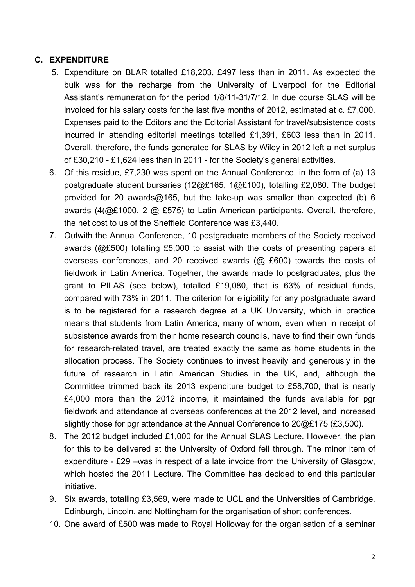#### **C. EXPENDITURE**

- 5. Expenditure on BLAR totalled £18,203, £497 less than in 2011. As expected the bulk was for the recharge from the University of Liverpool for the Editorial Assistant's remuneration for the period 1/8/11-31/7/12. In due course SLAS will be invoiced for his salary costs for the last five months of 2012, estimated at c. £7,000. Expenses paid to the Editors and the Editorial Assistant for travel/subsistence costs incurred in attending editorial meetings totalled £1,391, £603 less than in 2011. Overall, therefore, the funds generated for SLAS by Wiley in 2012 left a net surplus of £30,210 - £1,624 less than in 2011 - for the Society's general activities.
- 6. Of this residue, £7,230 was spent on the Annual Conference, in the form of (a) 13 postgraduate student bursaries (12@£165, 1@£100), totalling £2,080. The budget provided for 20 awards@165, but the take-up was smaller than expected (b) 6 awards (4(@£1000, 2 @ £575) to Latin American participants. Overall, therefore, the net cost to us of the Sheffield Conference was £3,440.
- 7. Outwith the Annual Conference, 10 postgraduate members of the Society received awards (@£500) totalling £5,000 to assist with the costs of presenting papers at overseas conferences, and 20 received awards (@ £600) towards the costs of fieldwork in Latin America. Together, the awards made to postgraduates, plus the grant to PILAS (see below), totalled £19,080, that is 63% of residual funds, compared with 73% in 2011. The criterion for eligibility for any postgraduate award is to be registered for a research degree at a UK University, which in practice means that students from Latin America, many of whom, even when in receipt of subsistence awards from their home research councils, have to find their own funds for research-related travel, are treated exactly the same as home students in the allocation process. The Society continues to invest heavily and generously in the future of research in Latin American Studies in the UK, and, although the Committee trimmed back its 2013 expenditure budget to £58,700, that is nearly £4,000 more than the 2012 income, it maintained the funds available for pgr fieldwork and attendance at overseas conferences at the 2012 level, and increased slightly those for pgr attendance at the Annual Conference to 20@£175 (£3,500).
- 8. The 2012 budget included £1,000 for the Annual SLAS Lecture. However, the plan for this to be delivered at the University of Oxford fell through. The minor item of expenditure - £29 –was in respect of a late invoice from the University of Glasgow, which hosted the 2011 Lecture. The Committee has decided to end this particular initiative.
- 9. Six awards, totalling £3,569, were made to UCL and the Universities of Cambridge, Edinburgh, Lincoln, and Nottingham for the organisation of short conferences.
- 10. One award of £500 was made to Royal Holloway for the organisation of a seminar